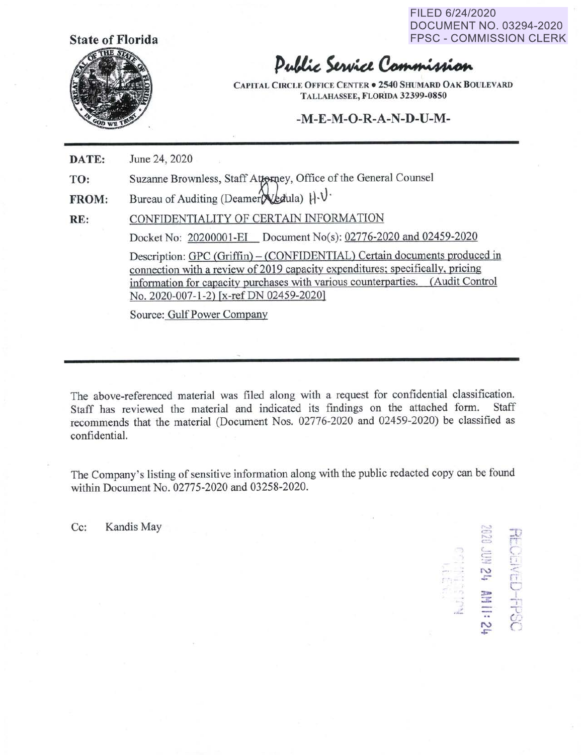FILED 6/24/2020 DOCUMENT NO. 03294-2020 FPSC - COMMISSION CLERK

> *,=··* **r-..:,**  t:~

**N** . .- ' . <sup>~</sup>r,

. ..:. -

*r -* {= .. - r-;

 $\Box$ 

**::z:., :z** 7

+ '

- 'T .. C:.· **N** *r* 



## Public Service Commission

**CAPITAL CmCLE OFFICE CENTER• 2540 SHUMARD OAK BOULEVARD TALLAHASSEE, FLORIDA 32399-0850** 

## **-M-E-M-O-R-A-N-D-U-M-**

**DATE:**  June 24, 2020

**TO:**  Suzanne Brownless, Staff Attorney, Office of the General Counsel

**FROM:**  Bureau of Auditing (Deamer  $\chi$ *k*dula)  $\mathcal{H} \cdot \mathcal{V}$ 

**RE:**  CONFIDENTIALITY OF CERTAIN INFORMATION

Docket No: 20200001-EI Document No(s): 02776-2020 and 02459-2020

Description: GPC (Griffin) – (CONFIDENTIAL) Certain documents produced in connection with a review of 2019 capacity expenditures; specifically, pricing information for capacity purchases with various counterparties. (Audit Control No. 2020-007-1-2) (x-refDN 02459-2020]

Source: Gulf Power Company

The above-referenced material was filed along with a request for confidential classification.<br>Staff has reviewed the material and indicated its findings on the attached form. Staff Staff has reviewed the material and indicated its findings on the attached form. recommends that the material (Document Nos. 02776-2020 and 02459-2020) be classified as confidential.

The Company's listing of sensitive information along with the public redacted copy can be found within Document No. 02775-2020 and 03258-2020.

Cc: Kandis May